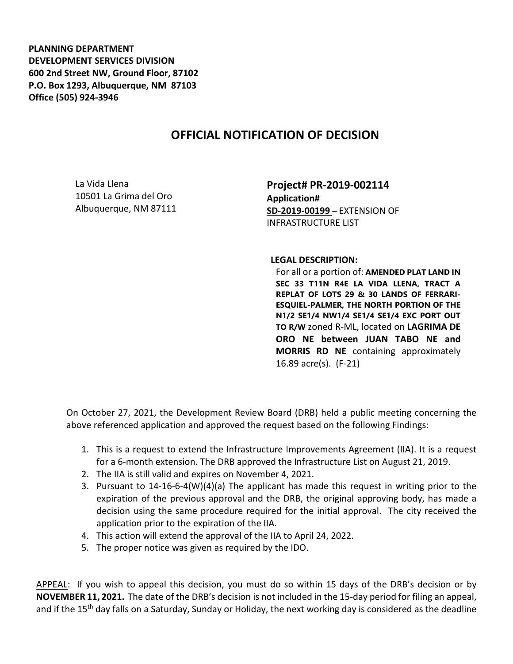**PLANNING DEPARTMENT DEVELOPMENT SERVICES DIVISION 600 2nd Street NW, Ground Floor, 87102 P.O. Box 1293, Albuquerque, NM 87103 Office (505) 924-3946** 

## **OFFICIAL NOTIFICATION OF DECISION**

La Vida Llena 10501 La Grima del Oro Albuquerque, NM 87111

**Project# PR-2019-002114 Application# SD-2019-00199 –** EXTENSION OF INFRASTRUCTURE LIST

**LEGAL DESCRIPTION:**

For all or a portion of: **AMENDED PLAT LAND IN SEC 33 T11N R4E LA VIDA LLENA, TRACT A REPLAT OF LOTS 29 & 30 LANDS OF FERRARI-ESQUIEL-PALMER, THE NORTH PORTION OF THE N1/2 SE1/4 NW1/4 SE1/4 SE1/4 EXC PORT OUT TO R/W** zoned R-ML, located on **LAGRIMA DE ORO NE between JUAN TABO NE and MORRIS RD NE** containing approximately 16.89 acre(s). (F-21)

On October 27, 2021, the Development Review Board (DRB) held a public meeting concerning the above referenced application and approved the request based on the following Findings:

- 1. This is a request to extend the Infrastructure Improvements Agreement (IIA). It is a request for a 6-month extension. The DRB approved the Infrastructure List on August 21, 2019.
- 2. The IIA is still valid and expires on November 4, 2021.
- 3. Pursuant to 14-16-6-4(W)(4)(a) The applicant has made this request in writing prior to the expiration of the previous approval and the DRB, the original approving body, has made a decision using the same procedure required for the initial approval. The city received the application prior to the expiration of the IIA.
- 4. This action will extend the approval of the IIA to April 24, 2022.
- 5. The proper notice was given as required by the IDO.

APPEAL: If you wish to appeal this decision, you must do so within 15 days of the DRB's decision or by **NOVEMBER 11, 2021.** The date of the DRB's decision is not included in the 15-day period for filing an appeal, and if the 15<sup>th</sup> day falls on a Saturday, Sunday or Holiday, the next working day is considered as the deadline